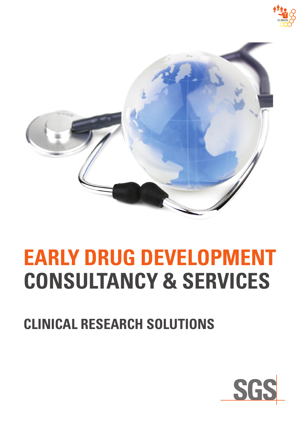



# **EARLY DRUG DEVELOPMENT CONSULTANCY & SERVICES**

## **CLINICAL RESEARCH SOLUTIONS**

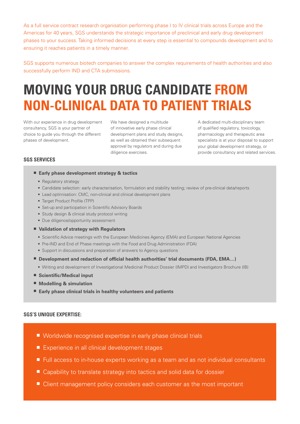As a full service contract research organisation performing phase I to IV clinical trials across Europe and the Americas for 40 years, SGS understands the strategic importance of preclinical and early drug development phases to your success. Taking informed decisions at every step is essential to compounds development and to ensuring it reaches patients in a timely manner.

SGS supports numerous biotech companies to answer the complex requirements of health authorities and also successfully perform IND and CTA submissions.

### **MOVING YOUR DRUG CANDIDATE FROM NON-CLINICAL DATA TO PATIENT TRIALS**

With our experience in drug development consultancy, SGS is your partner of choice to guide you through the different phases of development.

We have designed a multitude of innovative early phase clinical development plans and study designs, as well as obtained their subsequent approval by regulators and during due diligence exercises.

A dedicated multi-disciplinary team of qualified regulatory, toxicology, pharmacology and therapeutic area specialists is at your disposal to support your global development strategy, or provide consultancy and related services.

#### **SGS SERVICES**

- **Early phase development strategy & tactics**
	- Regulatory strategy
	- Candidate selection: early characterisation, formulation and stability testing; review of pre-clinical data/reports
	- Lead optimisation: CMC, non-clinical and clinical development plans
	- Target Product Profile (TPP)
	- Set-up and participation in Scientific Advisory Boards
	- Study design & clinical study protocol writing
	- Due diligence/opportunity assessment
- **Validation of strategy with Regulators**
	- Scientific Advice meetings with the European Medicines Agency (EMA) and European National Agencies
	- Pre-IND and End of Phase meetings with the Food and Drug Administration (FDA)
	- Support in discussions and preparation of answers to Agency questions
- **Development and redaction of official health authorities' trial documents (FDA, EMA...)** 
	- Writing and development of Investigational Medicinal Product Dossier (IMPD) and Investigators Brochure (IB)
- **Scientific/Medical input**
- **Modelling & simulation**
- **Early phase clinical trials in healthy volunteers and patients**

#### **SGS'S UNIQUE EXPERTISE:**

- Worldwide recognised expertise in early phase clinical trials
- Experience in all clinical development stages
- Full access to in-house experts working as a team and as not individual consultants
- Capability to translate strategy into tactics and solid data for dossier
- Client management policy considers each customer as the most important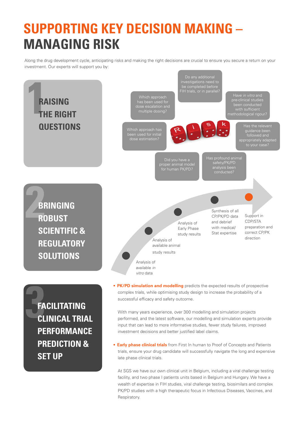### **SUPPORTING KEY DECISION MAKING – MANAGING RISK**

Along the drug development cycle, anticipating risks and making the right decisions are crucial to ensure you secure a return on your investment. Our experts will support you by:



late phase clinical trials.

**SET UP**

At SGS we have our own clinical unit in Belgium, including a viral challenge testing facility, and two phase I patients units based in Belgium and Hungary. We have a wealth of expertise in FIH studies, viral challenge testing, biosimilars and complex PK/PD studies with a high therapeutic focus in Infectious Diseases, Vaccines, and Respiratory.